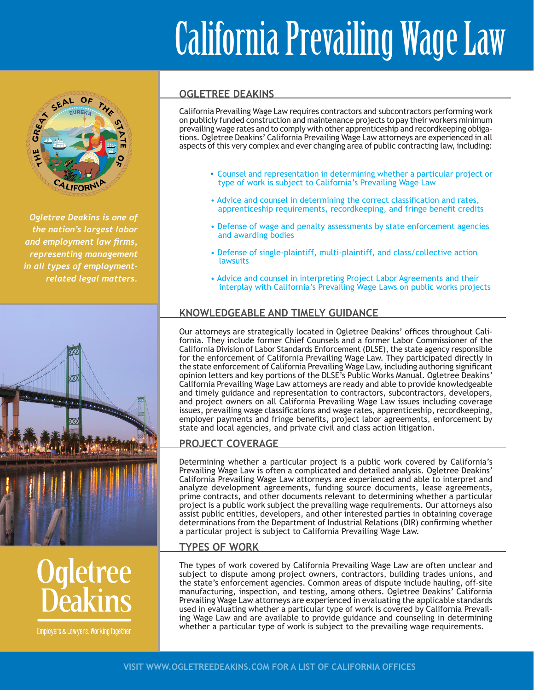# California Prevailing Wage Law



*Ogletree Deakins is one of the nation's largest labor and employment law firms, representing management in all types of employmentrelated legal matters.*



# **Ogletree**<br>**Deakins**

Employers & Lawyers, Working Together

### **OGLETREE DEAKINS**

revalung wage rates and to comply with other ap<br>ons. Ogletree Deakins' California Prevailing Wag<br>spects of this very complex and ever changing are California Prevailing Wage Law requires contractors and subcontractors performing work on publicly funded construction and maintenance projects to pay their workers minimum prevailing wage rates and to comply with other apprenticeship and recordkeeping obligations. Ogletree Deakins' California Prevailing Wage Law attorneys are experienced in all aspects of this very complex and ever changing area of public contracting law, including:

- Counsel and representation in determining whether a particular project or type of work is subject to California's Prevailing Wage Law
- Advice and counsel in determining the correct classification and rates, apprenticeship requirements, recordkeeping, and fringe benefit credits
- Defense of wage and penalty assessments by state enforcement agencies and awarding bodies
- Defense of single-plaintiff, multi-plaintiff, and class/collective action lawsuits
- Advice and counsel in interpreting Project Labor Agreements and their interplay with California's Prevailing Wage Laws on public works projects

# **KNOWLEDGEABLE AND TIMELY GUIDANCE**

Our attorneys are strategically located in Ogletree Deakins' offices throughout California. They include former Chief Counsels and a former Labor Commissioner of the California Division of Labor Standards Enforcement (DLSE), the state agency responsible for the enforcement of California Prevailing Wage Law. They participated directly in the state enforcement of California Prevailing Wage Law, including authoring significant opinion letters and key portions of the DLSE's Public Works Manual. Ogletree Deakins' California Prevailing Wage Law attorneys are ready and able to provide knowledgeable and timely guidance and representation to contractors, subcontractors, developers, and project owners on all California Prevailing Wage Law issues including coverage issues, prevailing wage classifications and wage rates, apprenticeship, recordkeeping, employer payments and fringe benefits, project labor agreements, enforcement by state and local agencies, and private civil and class action litigation.

### **PROJECT COVERAGE**

Determining whether a particular project is a public work covered by California's Prevailing Wage Law is often a complicated and detailed analysis. Ogletree Deakins' California Prevailing Wage Law attorneys are experienced and able to interpret and analyze development agreements, funding source documents, lease agreements, prime contracts, and other documents relevant to determining whether a particular project is a public work subject the prevailing wage requirements. Our attorneys also assist public entities, developers, and other interested parties in obtaining coverage determinations from the Department of Industrial Relations (DIR) confirming whether a particular project is subject to California Prevailing Wage Law.

### **TYPES OF WORK**

The types of work covered by California Prevailing Wage Law are often unclear and subject to dispute among project owners, contractors, building trades unions, and the state's enforcement agencies. Common areas of dispute include hauling, off-site manufacturing, inspection, and testing, among others. Ogletree Deakins' California Prevailing Wage Law attorneys are experienced in evaluating the applicable standards used in evaluating whether a particular type of work is covered by California Prevailing Wage Law and are available to provide guidance and counseling in determining whether a particular type of work is subject to the prevailing wage requirements.